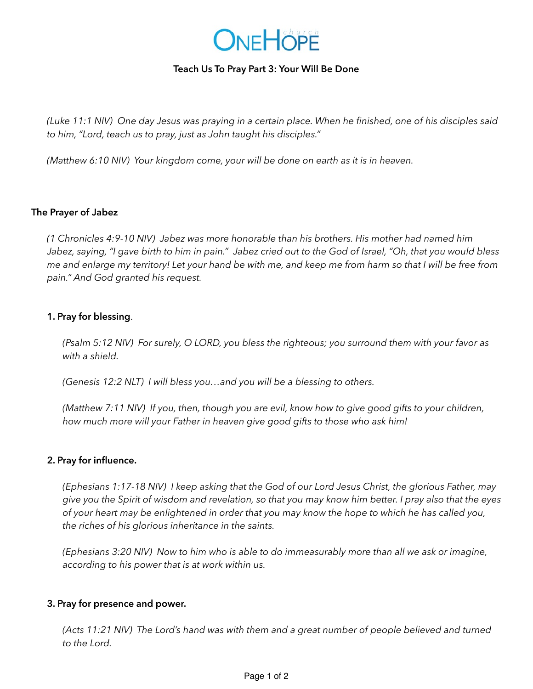

# **Teach Us To Pray Part 3: Your Will Be Done**

*(Luke 11:1 NIV) One day Jesus was praying in a certain place. When he finished, one of his disciples said to him, "Lord, teach us to pray, just as John taught his disciples."*

*(Matthew 6:10 NIV) Your kingdom come, your will be done on earth as it is in heaven.* 

## **The Prayer of Jabez**

*(1 Chronicles 4:9-10 NIV) Jabez was more honorable than his brothers. His mother had named him Jabez, saying, "I gave birth to him in pain." Jabez cried out to the God of Israel, "Oh, that you would bless me and enlarge my territory! Let your hand be with me, and keep me from harm so that I will be free from pain." And God granted his request.* 

## **1. Pray for blessing**.

*(Psalm 5:12 NIV) For surely, O LORD, you bless the righteous; you surround them with your favor as with a shield.*

*(Genesis 12:2 NLT) I will bless you…and you will be a blessing to others.*

*(Matthew 7:11 NIV) If you, then, though you are evil, know how to give good gifts to your children, how much more will your Father in heaven give good gifts to those who ask him!* 

## **2. Pray for influence.**

*(Ephesians 1:17-18 NIV) I keep asking that the God of our Lord Jesus Christ, the glorious Father, may give you the Spirit of wisdom and revelation, so that you may know him better. I pray also that the eyes of your heart may be enlightened in order that you may know the hope to which he has called you, the riches of his glorious inheritance in the saints.*

*(Ephesians 3:20 NIV) Now to him who is able to do immeasurably more than all we ask or imagine, according to his power that is at work within us.* 

## **3. Pray for presence and power.**

*(Acts 11:21 NIV) The Lord's hand was with them and a great number of people believed and turned to the Lord.*